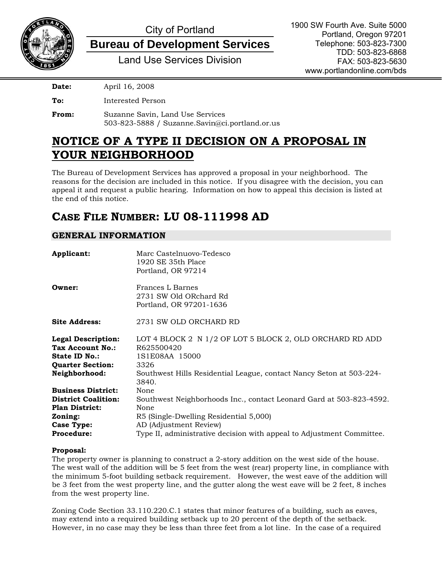

# City of Portland

**Bureau of Development Services**

Land Use Services Division

**Date:** April 16, 2008

**To:** Interested Person

**From:** Suzanne Savin, Land Use Services 503-823-5888 / Suzanne.Savin@ci.portland.or.us

## **NOTICE OF A TYPE II DECISION ON A PROPOSAL IN YOUR NEIGHBORHOOD**

The Bureau of Development Services has approved a proposal in your neighborhood. The reasons for the decision are included in this notice. If you disagree with the decision, you can appeal it and request a public hearing. Information on how to appeal this decision is listed at the end of this notice.

## **CASE FILE NUMBER: LU 08-111998 AD**

## **GENERAL INFORMATION**

| Applicant:                                                                                                                            | Marc Castelnuovo-Tedesco<br>1920 SE 35th Place<br>Portland, OR 97214                                                                                                                                                             |
|---------------------------------------------------------------------------------------------------------------------------------------|----------------------------------------------------------------------------------------------------------------------------------------------------------------------------------------------------------------------------------|
| Owner:                                                                                                                                | Frances L Barnes<br>2731 SW Old ORchard Rd<br>Portland, OR 97201-1636                                                                                                                                                            |
| <b>Site Address:</b>                                                                                                                  | 2731 SW OLD ORCHARD RD                                                                                                                                                                                                           |
| <b>Legal Description:</b><br>Tax Account No.:<br>State ID No.:<br><b>Quarter Section:</b><br>Neighborhood:                            | LOT 4 BLOCK 2 N 1/2 OF LOT 5 BLOCK 2, OLD ORCHARD RD ADD<br>R625500420<br>1S1E08AA 15000<br>3326<br>Southwest Hills Residential League, contact Nancy Seton at 503-224-<br>3840.                                                 |
| <b>Business District:</b><br><b>District Coalition:</b><br><b>Plan District:</b><br>Zoning:<br><b>Case Type:</b><br><b>Procedure:</b> | None<br>Southwest Neighborhoods Inc., contact Leonard Gard at 503-823-4592.<br>None<br>R5 (Single-Dwelling Residential 5,000)<br>AD (Adjustment Review)<br>Type II, administrative decision with appeal to Adjustment Committee. |

#### **Proposal:**

The property owner is planning to construct a 2-story addition on the west side of the house. The west wall of the addition will be 5 feet from the west (rear) property line, in compliance with the minimum 5-foot building setback requirement. However, the west eave of the addition will be 3 feet from the west property line, and the gutter along the west eave will be 2 feet, 8 inches from the west property line.

Zoning Code Section 33.110.220.C.1 states that minor features of a building, such as eaves, may extend into a required building setback up to 20 percent of the depth of the setback. However, in no case may they be less than three feet from a lot line. In the case of a required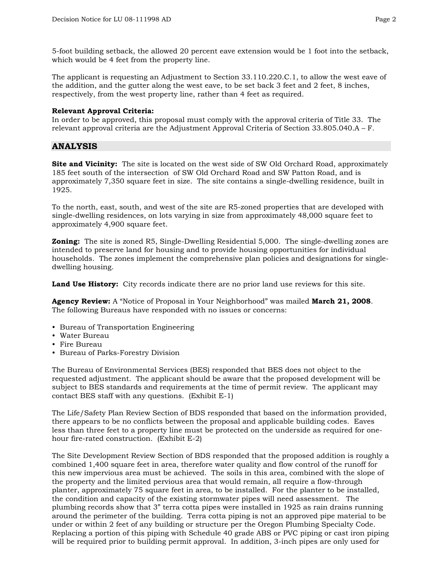5-foot building setback, the allowed 20 percent eave extension would be 1 foot into the setback, which would be 4 feet from the property line.

The applicant is requesting an Adjustment to Section 33.110.220.C.1, to allow the west eave of the addition, and the gutter along the west eave, to be set back 3 feet and 2 feet, 8 inches, respectively, from the west property line, rather than 4 feet as required.

#### **Relevant Approval Criteria:**

In order to be approved, this proposal must comply with the approval criteria of Title 33. The relevant approval criteria are the Adjustment Approval Criteria of Section 33.805.040.A – F.

## **ANALYSIS**

**Site and Vicinity:** The site is located on the west side of SW Old Orchard Road, approximately 185 feet south of the intersection of SW Old Orchard Road and SW Patton Road, and is approximately 7,350 square feet in size. The site contains a single-dwelling residence, built in 1925.

To the north, east, south, and west of the site are R5-zoned properties that are developed with single-dwelling residences, on lots varying in size from approximately 48,000 square feet to approximately 4,900 square feet.

**Zoning:** The site is zoned R5, Single-Dwelling Residential 5,000. The single-dwelling zones are intended to preserve land for housing and to provide housing opportunities for individual households. The zones implement the comprehensive plan policies and designations for singledwelling housing.

**Land Use History:** City records indicate there are no prior land use reviews for this site.

**Agency Review:** A "Notice of Proposal in Your Neighborhood" was mailed **March 21, 2008**. The following Bureaus have responded with no issues or concerns:

- Bureau of Transportation Engineering
- Water Bureau
- Fire Bureau
- Bureau of Parks-Forestry Division

The Bureau of Environmental Services (BES) responded that BES does not object to the requested adjustment. The applicant should be aware that the proposed development will be subject to BES standards and requirements at the time of permit review. The applicant may contact BES staff with any questions. (Exhibit E-1)

The Life/Safety Plan Review Section of BDS responded that based on the information provided, there appears to be no conflicts between the proposal and applicable building codes. Eaves less than three feet to a property line must be protected on the underside as required for onehour fire-rated construction. (Exhibit E-2)

The Site Development Review Section of BDS responded that the proposed addition is roughly a combined 1,400 square feet in area, therefore water quality and flow control of the runoff for this new impervious area must be achieved. The soils in this area, combined with the slope of the property and the limited pervious area that would remain, all require a flow-through planter, approximately 75 square feet in area, to be installed. For the planter to be installed, the condition and capacity of the existing stormwater pipes will need assessment. The plumbing records show that 3" terra cotta pipes were installed in 1925 as rain drains running around the perimeter of the building. Terra cotta piping is not an approved pipe material to be under or within 2 feet of any building or structure per the Oregon Plumbing Specialty Code. Replacing a portion of this piping with Schedule 40 grade ABS or PVC piping or cast iron piping will be required prior to building permit approval. In addition, 3-inch pipes are only used for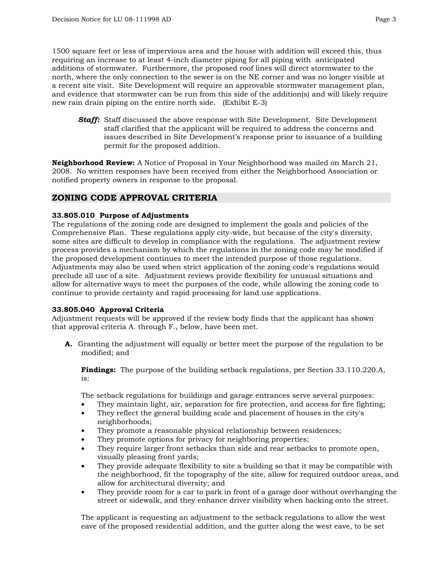1500 square feet or less of impervious area and the house with addition will exceed this, thus requiring an increase to at least 4-inch diameter piping for all piping with anticipated additions of stormwater. Furthermore, the proposed roof lines will direct stormwater to the north, where the only connection to the sewer is on the NE corner and was no longer visible at a recent site visit. Site Development will require an approvable stormwater management plan, and evidence that stormwater can be run from this side of the addition(s) and will likely require new rain drain piping on the entire north side. (Exhibit E-3)

*Staff:* Staff discussed the above response with Site Development. Site Development staff clarified that the applicant will be required to address the concerns and issues described in Site Development's response prior to issuance of a building permit for the proposed addition.

**Neighborhood Review:** A Notice of Proposal in Your Neighborhood was mailed on March 21, 2008. No written responses have been received from either the Neighborhood Association or notified property owners in response to the proposal.

## **ZONING CODE APPROVAL CRITERIA**

#### **33.805.010 Purpose of Adjustments**

The regulations of the zoning code are designed to implement the goals and policies of the Comprehensive Plan. These regulations apply city-wide, but because of the city's diversity, some sites are difficult to develop in compliance with the regulations. The adjustment review process provides a mechanism by which the regulations in the zoning code may be modified if the proposed development continues to meet the intended purpose of those regulations. Adjustments may also be used when strict application of the zoning code's regulations would preclude all use of a site. Adjustment reviews provide flexibility for unusual situations and allow for alternative ways to meet the purposes of the code, while allowing the zoning code to continue to provide certainty and rapid processing for land use applications.

#### **33.805.040 Approval Criteria**

Adjustment requests will be approved if the review body finds that the applicant has shown that approval criteria A. through F., below, have been met.

**A.** Granting the adjustment will equally or better meet the purpose of the regulation to be modified; and

**Findings:** The purpose of the building setback regulations, per Section 33.110.220.A,  $iS$ :

The setback regulations for buildings and garage entrances serve several purposes:

- They maintain light, air, separation for fire protection, and access for fire fighting;
- They reflect the general building scale and placement of houses in the city's neighborhoods;
- They promote a reasonable physical relationship between residences;
- They promote options for privacy for neighboring properties;
- They require larger front setbacks than side and rear setbacks to promote open, visually pleasing front yards;
- They provide adequate flexibility to site a building so that it may be compatible with the neighborhood, fit the topography of the site, allow for required outdoor areas, and allow for architectural diversity; and
- They provide room for a car to park in front of a garage door without overhanging the street or sidewalk, and they enhance driver visibility when backing onto the street.

The applicant is requesting an adjustment to the setback regulations to allow the west eave of the proposed residential addition, and the gutter along the west eave, to be set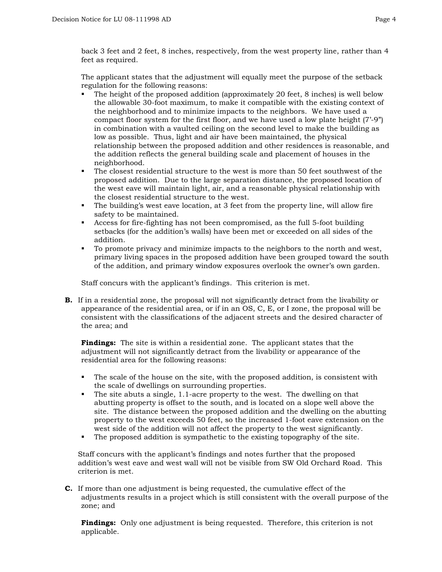back 3 feet and 2 feet, 8 inches, respectively, from the west property line, rather than 4 feet as required.

The applicant states that the adjustment will equally meet the purpose of the setback regulation for the following reasons:

- The height of the proposed addition (approximately 20 feet, 8 inches) is well below the allowable 30-foot maximum, to make it compatible with the existing context of the neighborhood and to minimize impacts to the neighbors. We have used a compact floor system for the first floor, and we have used a low plate height (7'-9") in combination with a vaulted ceiling on the second level to make the building as low as possible. Thus, light and air have been maintained, the physical relationship between the proposed addition and other residences is reasonable, and the addition reflects the general building scale and placement of houses in the neighborhood.
- The closest residential structure to the west is more than 50 feet southwest of the proposed addition. Due to the large separation distance, the proposed location of the west eave will maintain light, air, and a reasonable physical relationship with the closest residential structure to the west.
- The building's west eave location, at 3 feet from the property line, will allow fire safety to be maintained.
- Access for fire-fighting has not been compromised, as the full 5-foot building setbacks (for the addition's walls) have been met or exceeded on all sides of the addition.
- To promote privacy and minimize impacts to the neighbors to the north and west, primary living spaces in the proposed addition have been grouped toward the south of the addition, and primary window exposures overlook the owner's own garden.

Staff concurs with the applicant's findings. This criterion is met.

**B.** If in a residential zone, the proposal will not significantly detract from the livability or appearance of the residential area, or if in an OS, C, E, or I zone, the proposal will be consistent with the classifications of the adjacent streets and the desired character of the area; and

**Findings:** The site is within a residential zone. The applicant states that the adjustment will not significantly detract from the livability or appearance of the residential area for the following reasons:

- The scale of the house on the site, with the proposed addition, is consistent with the scale of dwellings on surrounding properties.
- The site abuts a single, 1.1-acre property to the west. The dwelling on that abutting property is offset to the south, and is located on a slope well above the site. The distance between the proposed addition and the dwelling on the abutting property to the west exceeds 50 feet, so the increased 1-foot eave extension on the west side of the addition will not affect the property to the west significantly.
- The proposed addition is sympathetic to the existing topography of the site.

Staff concurs with the applicant's findings and notes further that the proposed addition's west eave and west wall will not be visible from SW Old Orchard Road. This criterion is met.

**C.** If more than one adjustment is being requested, the cumulative effect of the adjustments results in a project which is still consistent with the overall purpose of the zone; and

**Findings:** Only one adjustment is being requested. Therefore, this criterion is not applicable.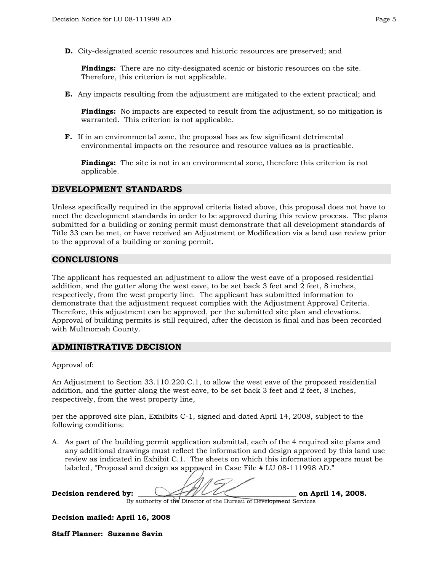**D.** City-designated scenic resources and historic resources are preserved; and

**Findings:** There are no city-designated scenic or historic resources on the site. Therefore, this criterion is not applicable.

**E.** Any impacts resulting from the adjustment are mitigated to the extent practical; and

**Findings:** No impacts are expected to result from the adjustment, so no mitigation is warranted. This criterion is not applicable.

**F.** If in an environmental zone, the proposal has as few significant detrimental environmental impacts on the resource and resource values as is practicable.

**Findings:** The site is not in an environmental zone, therefore this criterion is not applicable.

#### **DEVELOPMENT STANDARDS**

Unless specifically required in the approval criteria listed above, this proposal does not have to meet the development standards in order to be approved during this review process. The plans submitted for a building or zoning permit must demonstrate that all development standards of Title 33 can be met, or have received an Adjustment or Modification via a land use review prior to the approval of a building or zoning permit.

#### **CONCLUSIONS**

The applicant has requested an adjustment to allow the west eave of a proposed residential addition, and the gutter along the west eave, to be set back 3 feet and 2 feet, 8 inches, respectively, from the west property line. The applicant has submitted information to demonstrate that the adjustment request complies with the Adjustment Approval Criteria. Therefore, this adjustment can be approved, per the submitted site plan and elevations. Approval of building permits is still required, after the decision is final and has been recorded with Multnomah County.

#### **ADMINISTRATIVE DECISION**

Approval of:

An Adjustment to Section 33.110.220.C.1, to allow the west eave of the proposed residential addition, and the gutter along the west eave, to be set back 3 feet and 2 feet, 8 inches, respectively, from the west property line,

per the approved site plan, Exhibits C-1, signed and dated April 14, 2008, subject to the following conditions:

A. As part of the building permit application submittal, each of the 4 required site plans and any additional drawings must reflect the information and design approved by this land use review as indicated in Exhibit C.1. The sheets on which this information appears must be labeled, "Proposal and design as approved in Case File # LU 08-111998 AD."

Decision rendered by:  $\bigcup$ By authority of the Director of the Bureau of Development Services

**Decision mailed: April 16, 2008**

**Staff Planner: Suzanne Savin**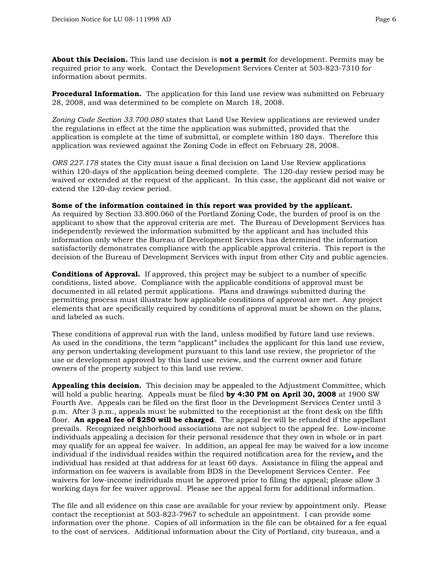**About this Decision.** This land use decision is **not a permit** for development. Permits may be required prior to any work. Contact the Development Services Center at 503-823-7310 for information about permits.

**Procedural Information.** The application for this land use review was submitted on February 28, 2008, and was determined to be complete on March 18, 2008.

*Zoning Code Section 33.700.080* states that Land Use Review applications are reviewed under the regulations in effect at the time the application was submitted, provided that the application is complete at the time of submittal, or complete within 180 days. Therefore this application was reviewed against the Zoning Code in effect on February 28, 2008.

*ORS 227.178* states the City must issue a final decision on Land Use Review applications within 120-days of the application being deemed complete. The 120-day review period may be waived or extended at the request of the applicant. In this case, the applicant did not waive or extend the 120-day review period.

#### **Some of the information contained in this report was provided by the applicant.**

As required by Section 33.800.060 of the Portland Zoning Code, the burden of proof is on the applicant to show that the approval criteria are met. The Bureau of Development Services has independently reviewed the information submitted by the applicant and has included this information only where the Bureau of Development Services has determined the information satisfactorily demonstrates compliance with the applicable approval criteria. This report is the decision of the Bureau of Development Services with input from other City and public agencies.

**Conditions of Approval.** If approved, this project may be subject to a number of specific conditions, listed above. Compliance with the applicable conditions of approval must be documented in all related permit applications. Plans and drawings submitted during the permitting process must illustrate how applicable conditions of approval are met. Any project elements that are specifically required by conditions of approval must be shown on the plans, and labeled as such.

These conditions of approval run with the land, unless modified by future land use reviews. As used in the conditions, the term "applicant" includes the applicant for this land use review, any person undertaking development pursuant to this land use review, the proprietor of the use or development approved by this land use review, and the current owner and future owners of the property subject to this land use review.

**Appealing this decision.** This decision may be appealed to the Adjustment Committee, which will hold a public hearing. Appeals must be filed **by 4:30 PM on April 30, 2008** at 1900 SW Fourth Ave. Appeals can be filed on the first floor in the Development Services Center until 3 p.m. After 3 p.m., appeals must be submitted to the receptionist at the front desk on the fifth floor. **An appeal fee of \$250 will be charged**. The appeal fee will be refunded if the appellant prevails. Recognized neighborhood associations are not subject to the appeal fee. Low-income individuals appealing a decision for their personal residence that they own in whole or in part may qualify for an appeal fee waiver. In addition, an appeal fee may be waived for a low income individual if the individual resides within the required notification area for the review**,** and the individual has resided at that address for at least 60 days. Assistance in filing the appeal and information on fee waivers is available from BDS in the Development Services Center. Fee waivers for low-income individuals must be approved prior to filing the appeal; please allow 3 working days for fee waiver approval. Please see the appeal form for additional information.

The file and all evidence on this case are available for your review by appointment only. Please contact the receptionist at 503-823-7967 to schedule an appointment. I can provide some information over the phone. Copies of all information in the file can be obtained for a fee equal to the cost of services. Additional information about the City of Portland, city bureaus, and a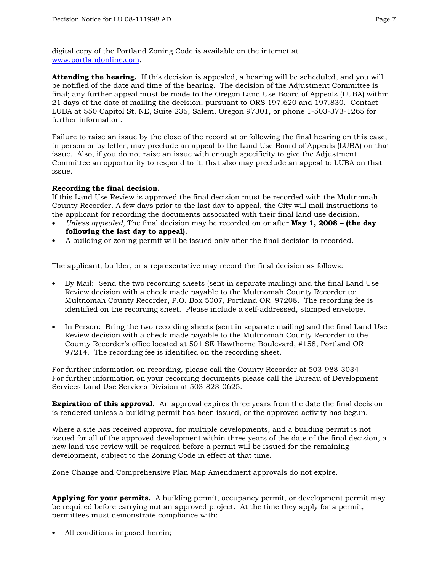digital copy of the Portland Zoning Code is available on the internet at [www.portlandonline.com.](http://www.ci.portland.or.us/)

**Attending the hearing.** If this decision is appealed, a hearing will be scheduled, and you will be notified of the date and time of the hearing. The decision of the Adjustment Committee is final; any further appeal must be made to the Oregon Land Use Board of Appeals (LUBA) within 21 days of the date of mailing the decision, pursuant to ORS 197.620 and 197.830. Contact LUBA at 550 Capitol St. NE, Suite 235, Salem, Oregon 97301, or phone 1-503-373-1265 for further information.

Failure to raise an issue by the close of the record at or following the final hearing on this case, in person or by letter, may preclude an appeal to the Land Use Board of Appeals (LUBA) on that issue. Also, if you do not raise an issue with enough specificity to give the Adjustment Committee an opportunity to respond to it, that also may preclude an appeal to LUBA on that issue.

#### **Recording the final decision.**

If this Land Use Review is approved the final decision must be recorded with the Multnomah County Recorder. A few days prior to the last day to appeal, the City will mail instructions to the applicant for recording the documents associated with their final land use decision.

- *Unless appealed,* The final decision may be recorded on or after **May 1, 2008 (the day following the last day to appeal).**
- A building or zoning permit will be issued only after the final decision is recorded.

The applicant, builder, or a representative may record the final decision as follows:

- By Mail: Send the two recording sheets (sent in separate mailing) and the final Land Use Review decision with a check made payable to the Multnomah County Recorder to: Multnomah County Recorder, P.O. Box 5007, Portland OR 97208. The recording fee is identified on the recording sheet. Please include a self-addressed, stamped envelope.
- In Person: Bring the two recording sheets (sent in separate mailing) and the final Land Use Review decision with a check made payable to the Multnomah County Recorder to the County Recorder's office located at 501 SE Hawthorne Boulevard, #158, Portland OR 97214. The recording fee is identified on the recording sheet.

For further information on recording, please call the County Recorder at 503-988-3034 For further information on your recording documents please call the Bureau of Development Services Land Use Services Division at 503-823-0625.

**Expiration of this approval.** An approval expires three years from the date the final decision is rendered unless a building permit has been issued, or the approved activity has begun.

Where a site has received approval for multiple developments, and a building permit is not issued for all of the approved development within three years of the date of the final decision, a new land use review will be required before a permit will be issued for the remaining development, subject to the Zoning Code in effect at that time.

Zone Change and Comprehensive Plan Map Amendment approvals do not expire.

**Applying for your permits.** A building permit, occupancy permit, or development permit may be required before carrying out an approved project. At the time they apply for a permit, permittees must demonstrate compliance with:

All conditions imposed herein;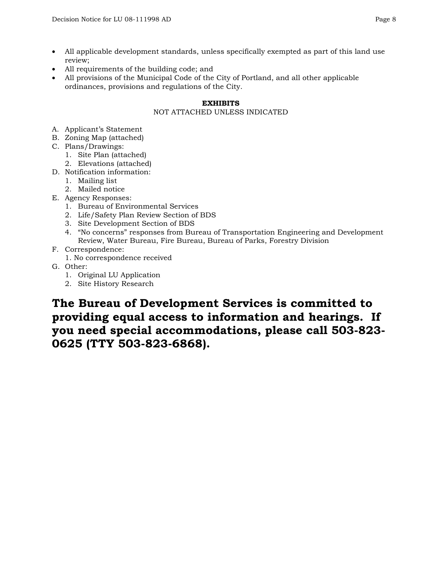- All applicable development standards, unless specifically exempted as part of this land use review;
- All requirements of the building code; and
- All provisions of the Municipal Code of the City of Portland, and all other applicable ordinances, provisions and regulations of the City.

#### **EXHIBITS**

### NOT ATTACHED UNLESS INDICATED

- A. Applicant's Statement
- B. Zoning Map (attached)
- C. Plans/Drawings:
	- 1. Site Plan (attached)
	- 2. Elevations (attached)
- D. Notification information:
	- 1. Mailing list
	- 2. Mailed notice
- E. Agency Responses:
	- 1. Bureau of Environmental Services
	- 2. Life/Safety Plan Review Section of BDS
	- 3. Site Development Section of BDS
	- 4. "No concerns" responses from Bureau of Transportation Engineering and Development Review, Water Bureau, Fire Bureau, Bureau of Parks, Forestry Division
- F. Correspondence:
	- 1. No correspondence received
- G. Other:
	- 1. Original LU Application
	- 2. Site History Research

**The Bureau of Development Services is committed to providing equal access to information and hearings. If you need special accommodations, please call 503-823- 0625 (TTY 503-823-6868).**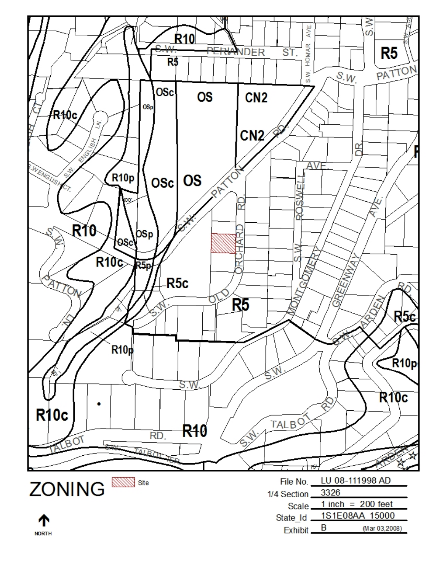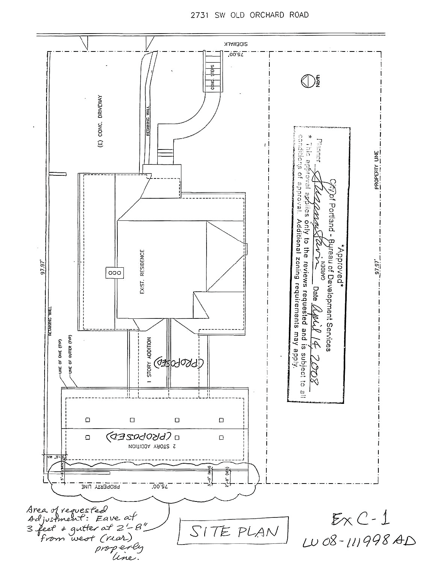